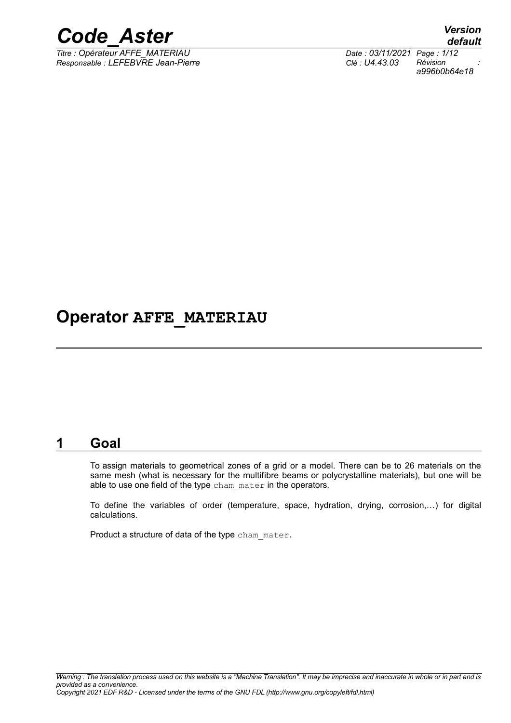

*Titre : Opérateur AFFE\_MATERIAU Date : 03/11/2021 Page : 1/12 Responsable : LEFEBVRE Jean-Pierre Clé : U4.43.03 Révision :*

*default a996b0b64e18*

## **Operator AFFE\_MATERIAU**

### **1 Goal**

To assign materials to geometrical zones of a grid or a model. There can be to 26 materials on the same mesh (what is necessary for the multifibre beams or polycrystalline materials), but one will be able to use one field of the type cham mater in the operators.

To define the variables of order (temperature, space, hydration, drying, corrosion,…) for digital calculations.

Product a structure of data of the type cham\_mater.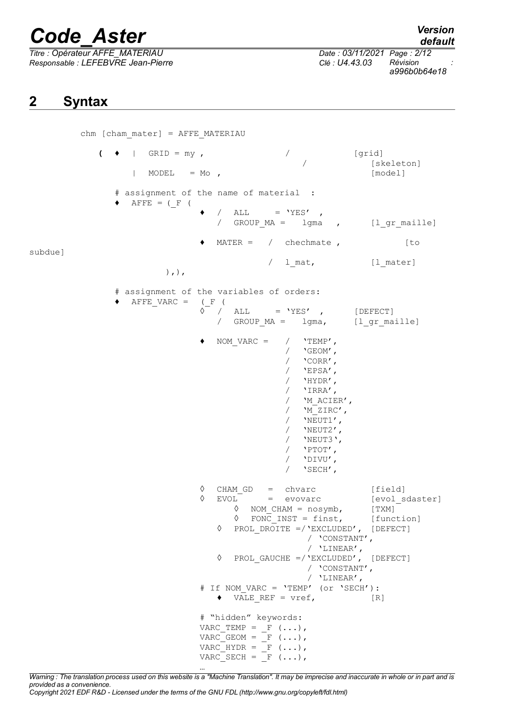*Titre : Opérateur AFFE\_MATERIAU Date : 03/11/2021 Page : 2/12 Responsable : LEFEBVRE Jean-Pierre Clé : U4.43.03 Révision :*

*a996b0b64e18*

## **2 Syntax**

chm [cham\_mater] = AFFE\_MATERIAU  $($   $\bullet$  | GRID = my ,  $/$  [grid] [skeleton]  $|$  MODEL = Mo ,  $[$  model] # assignment of the name of material :  $\blacklozenge$  AFFE = (F)  $\bullet$  / ALL = 'YES' , / GROUP MA = lgma , [l gr maille]  $M {\tt MATER}$  = / chechmate , [to subdue] / 1 mat, [1 mater] ),), # assignment of the variables of orders:  $\blacklozenge$  AFFE VARC = (F)  $\hat{\lozenge}$  / ALL = 'YES' , [DEFECT] / GROUP MA = lgma, [l gr maille] NOM VARC =  $/$  'TEMP',  $/$  'GEOM', / 'CORR', / 'EPSA',  $/$  'HYDR', / 'IRRA', / 'M\_ACIER',  $/$  'M\_ZIRC',  $\frac{1}{\sqrt{2}}$  'NEUT1', / 'NEUT2', / 'NEUT3',  $/$  'PTOT', / 'DIVU', / 'SECH', ◊ CHAM\_GD = chvarc [field] ◊ EVOL = evovarc [evol\_sdaster]<br>
◊ NOM\_CHAM = nosymb, [TXM]<br>
△ FONG THE ◊ NOM\_CHAM = nosymb, [TXM]  $\Diamond$  FONC INST = finst, ◊ PROL\_DROITE =/'EXCLUDED', [DEFECT] / 'CONSTANT',  $/$  'LINEAR', ◊ PROL\_GAUCHE =/'EXCLUDED', [DEFECT] / 'CONSTANT', / 'LINEAR', # If NOM\_VARC = 'TEMP' (or 'SECH'):  $\bullet$  VALE REF = vref, [R] # "hidden" keywords:  $VARC_TEMP = F (\ldots),$  $VARC_GEOM = F (\ldots),$ VARC HYDR =  $F$   $(\ldots),$  $VARC$  SECH =  $F$  (...),

*Warning : The translation process used on this website is a "Machine Translation". It may be imprecise and inaccurate in whole or in part and is provided as a convenience. Copyright 2021 EDF R&D - Licensed under the terms of the GNU FDL (http://www.gnu.org/copyleft/fdl.html)*

…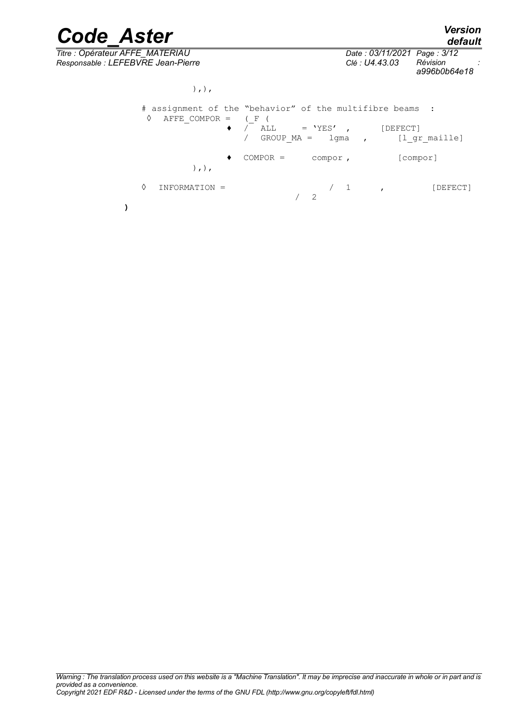*Titre : Opérateur AFFE\_MATERIAU Date : 03/11/2021 Page : 3/12 Responsable : LEFEBVRE Jean-Pierre Clé : U4.43.03 Révision :*

*a996b0b64e18*

),),

| #<br>♦ | assignment of the "behavior" of the multifibre beams :<br>AFFE COMPOR = | ٠ | $(F - F)$<br>/ ALL | $=$ 'YES', |               | [DEFECT]<br>GROUP MA = lgma , [l gr maille] |
|--------|-------------------------------------------------------------------------|---|--------------------|------------|---------------|---------------------------------------------|
|        | $), \,$                                                                 |   | $COMPOR =$         | compor,    |               | [compor]                                    |
| ♦      | INFORMATION =                                                           |   |                    | -2         | $\mathcal{L}$ | [DEFECT]                                    |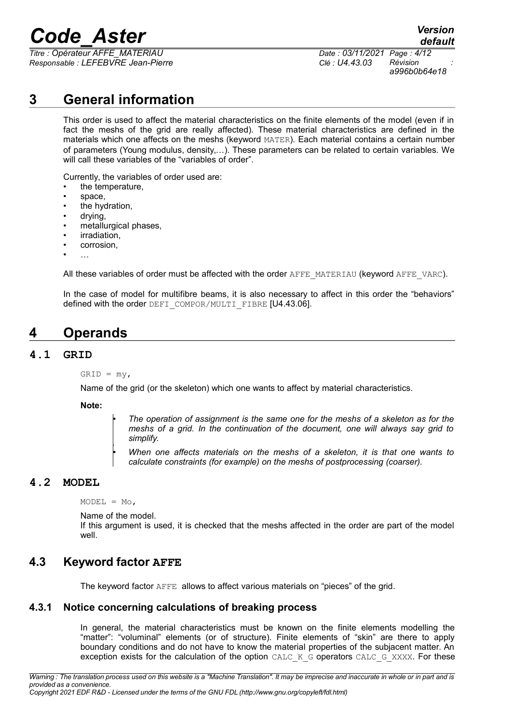*Titre : Opérateur AFFE\_MATERIAU Date : 03/11/2021 Page : 4/12 Responsable : LEFEBVRE Jean-Pierre Clé : U4.43.03 Révision :*

*a996b0b64e18*

*default*

## **3 General information**

This order is used to affect the material characteristics on the finite elements of the model (even if in fact the meshs of the grid are really affected). These material characteristics are defined in the materials which one affects on the meshs (keyword MATER). Each material contains a certain number of parameters (Young modulus, density,…). These parameters can be related to certain variables. We will call these variables of the "variables of order".

Currently, the variables of order used are:

- the temperature,
- space,
- the hydration,
- drying,
- metallurgical phases,
- irradiation,
- corrosion,
- …

All these variables of order must be affected with the order AFFE\_MATERIAU (keyword AFFE\_VARC).

In the case of model for multifibre beams, it is also necessary to affect in this order the "behaviors" defined with the order DEFI\_COMPOR/MULTI\_FIBRE [U4.43.06].

## **4 Operands**

#### **4.1 GRID**

 $GRID = my$ ,

Name of the grid (or the skeleton) which one wants to affect by material characteristics.

**Note:**

• *The operation of assignment is the same one for the meshs of a skeleton as for the meshs of a grid. In the continuation of the document, one will always say grid to simplify.*

• *When one affects materials on the meshs of a skeleton, it is that one wants to calculate constraints (for example) on the meshs of postprocessing (coarser).*

#### **4.2 MODEL**

 $MODEL = MO,$ 

•

Name of the model.

If this argument is used, it is checked that the meshs affected in the order are part of the model well.

#### **4.3 Keyword factor AFFE**

The keyword factor AFFE allows to affect various materials on "pieces" of the grid.

#### **4.3.1 Notice concerning calculations of breaking process**

In general, the material characteristics must be known on the finite elements modelling the "matter": "voluminal" elements (or of structure). Finite elements of "skin" are there to apply boundary conditions and do not have to know the material properties of the subjacent matter. An exception exists for the calculation of the option CALC\_K\_G operators CALC\_G\_XXXX. For these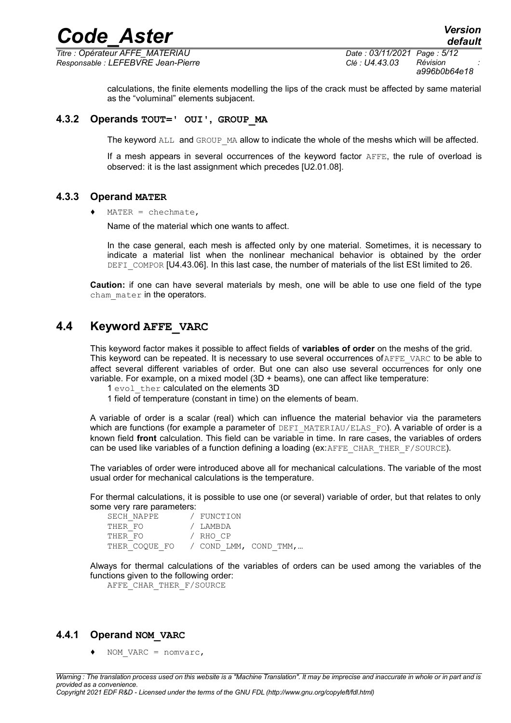*Titre : Opérateur AFFE\_MATERIAU Date : 03/11/2021 Page : 5/12 Responsable : LEFEBVRE Jean-Pierre Clé : U4.43.03 Révision :*

*default a996b0b64e18*

calculations, the finite elements modelling the lips of the crack must be affected by same material as the "voluminal" elements subjacent.

#### **4.3.2 Operands TOUT=' OUI', GROUP\_MA**

The keyword ALL and GROUP MA allow to indicate the whole of the meshs which will be affected.

If a mesh appears in several occurrences of the keyword factor AFFE, the rule of overload is observed: it is the last assignment which precedes [U2.01.08].

#### **4.3.3 Operand MATER**

 $MATER = chechnate,$ 

Name of the material which one wants to affect.

In the case general, each mesh is affected only by one material. Sometimes, it is necessary to indicate a material list when the nonlinear mechanical behavior is obtained by the order DEFI COMPOR [U4.43.06]. In this last case, the number of materials of the list ESt limited to 26.

**Caution:** if one can have several materials by mesh, one will be able to use one field of the type cham mater in the operators.

### **4.4 Keyword AFFE\_VARC**

This keyword factor makes it possible to affect fields of **variables of order** on the meshs of the grid. This keyword can be repeated. It is necessary to use several occurrences of  $A$ FFE\_VARC to be able to affect several different variables of order. But one can also use several occurrences for only one variable. For example, on a mixed model (3D + beams), one can affect like temperature:

- 1 evol ther calculated on the elements 3D
- 1 field of temperature (constant in time) on the elements of beam.

A variable of order is a scalar (real) which can influence the material behavior via the parameters which are functions (for example a parameter of DEFI\_MATERIAU/ELAS\_FO). A variable of order is a known field **front** calculation. This field can be variable in time. In rare cases, the variables of orders can be used like variables of a function defining a loading (ex: $AFFE$  CHAR THER  $F/SOURCE$ ).

The variables of order were introduced above all for mechanical calculations. The variable of the most usual order for mechanical calculations is the temperature.

For thermal calculations, it is possible to use one (or several) variable of order, but that relates to only some very rare parameters:

| SECH NAPPE    | / FUNCTION |                       |
|---------------|------------|-----------------------|
| THER FO       | / LAMBDA   |                       |
| THER FO       | / RHO CP   |                       |
| THER COOUE FO |            | / COND LMM, COND TMM, |

Always for thermal calculations of the variables of orders can be used among the variables of the functions given to the following order:

AFFE CHAR THER F/SOURCE

### **4.4.1 Operand NOM\_VARC**

NOM VARC = nomvarc,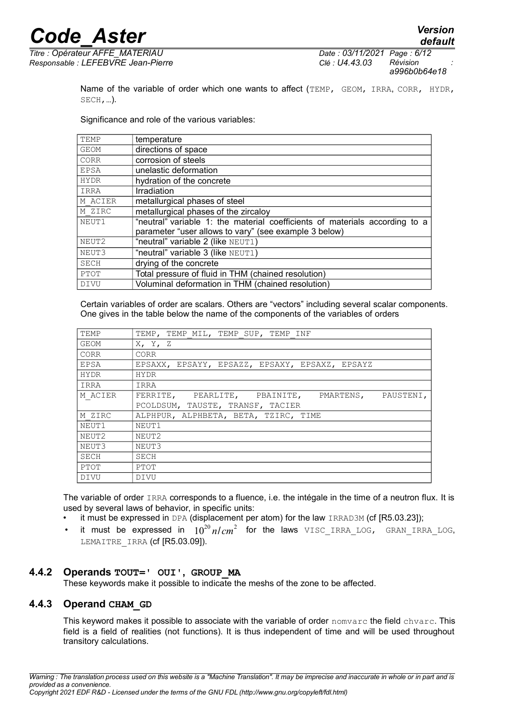*default*

*Titre : Opérateur AFFE\_MATERIAU Date : 03/11/2021 Page : 6/12 Responsable : LEFEBVRE Jean-Pierre Clé : U4.43.03 Révision :*

*a996b0b64e18*

Name of the variable of order which one wants to affect (TEMP, GEOM, IRRA, CORR, HYDR, SECH,…).

Significance and role of the various variables:

| TEMP        | temperature                                                                 |
|-------------|-----------------------------------------------------------------------------|
| <b>GEOM</b> | directions of space                                                         |
| CORR        | corrosion of steels                                                         |
| <b>EPSA</b> | unelastic deformation                                                       |
| <b>HYDR</b> | hydration of the concrete                                                   |
| IRRA        | Irradiation                                                                 |
| M ACIER     | metallurgical phases of steel                                               |
| M ZIRC      | metallurgical phases of the zircaloy                                        |
| NEUT1       | "neutral" variable 1: the material coefficients of materials according to a |
|             | parameter "user allows to vary" (see example 3 below)                       |
| NEUT2       | "neutral" variable 2 (like NEUT1)                                           |
| NEUT3       | "neutral" variable 3 (like NEUT1)                                           |
| SECH        | drying of the concrete                                                      |
| PTOT        | Total pressure of fluid in THM (chained resolution)                         |
| <b>DIVU</b> | Voluminal deformation in THM (chained resolution)                           |

Certain variables of order are scalars. Others are "vectors" including several scalar components. One gives in the table below the name of the components of the variables of orders

| TEMP        | TEMP, TEMP MIL, TEMP SUP, TEMP INF               |
|-------------|--------------------------------------------------|
| GEOM        | X, Y, Z                                          |
| CORR        | CORR                                             |
| EPSA        | EPSAXX, EPSAYY, EPSAZZ, EPSAXY, EPSAXZ, EPSAYZ   |
| <b>HYDR</b> | <b>HYDR</b>                                      |
| IRRA        | IRRA                                             |
| M ACIER     | FERRITE, PEARLITE, PBAINITE, PMARTENS, PAUSTENI, |
|             | PCOLDSUM, TAUSTE, TRANSF, TACIER                 |
| M ZIRC      | ALPHPUR, ALPHBETA, BETA, TZIRC, TIME             |
| NEUT1       | NEUT1                                            |
| NEUT2       | NEUT2                                            |
| NEUT3       | NEUT3                                            |
| SECH        | SECH                                             |
| PTOT        | PTOT                                             |
| DIVU        | DIVU                                             |

The variable of order IRRA corresponds to a fluence, i.e. the intégale in the time of a neutron flux. It is used by several laws of behavior, in specific units:

- it must be expressed in DPA (displacement per atom) for the law  $IRRAD3M$  (cf  $[R5.03.23]$ );
- $\bullet$  it must be expressed in  $10^{20}$   $n/cm^2$  for the laws  $\text{\tiny VISC\_IRRA\_LOG}$ ,  $\text{\tiny GRAN\_IRRA\_LOG}$ , LEMAITRE IRRA (cf [R5.03.09]).

#### **4.4.2 Operands TOUT=' OUI', GROUP\_MA**

These keywords make it possible to indicate the meshs of the zone to be affected.

#### **4.4.3 Operand CHAM\_GD**

This keyword makes it possible to associate with the variable of order nomvarc the field chvarc. This field is a field of realities (not functions). It is thus independent of time and will be used throughout transitory calculations.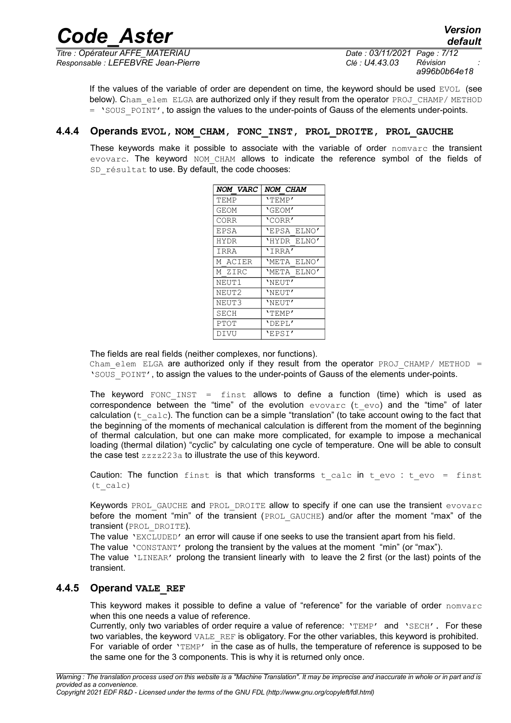*Titre : Opérateur AFFE\_MATERIAU Date : 03/11/2021 Page : 7/12 Responsable : LEFEBVRE Jean-Pierre Clé : U4.43.03 Révision :*

*a996b0b64e18*

If the values of the variable of order are dependent on time, the keyword should be used  $EVOL$  (see below). Cham\_elem\_ELGA are authorized only if they result from the operator PROJ\_CHAMP/ METHOD  $=$  'SOUS POINT', to assign the values to the under-points of Gauss of the elements under-points.

#### **4.4.4 Operands EVOL, NOM\_CHAM, FONC\_INST, PROL\_DROITE, PROL\_GAUCHE**

These keywords make it possible to associate with the variable of order nomvarc the transient evovarc. The keyword NOM CHAM allows to indicate the reference symbol of the fields of SD résultat to use. By default, the code chooses:

| NOM VARC    | <i>NOM CHAM</i> |
|-------------|-----------------|
| TEMP        | 'TEMP'          |
| GEOM        | 'GEOM'          |
| CORR        | 'CORR'          |
| EPSA        | 'EPSA ELNO'     |
| <b>HYDR</b> | 'HYDR ELNO'     |
| IRRA        | 'IRRA'          |
| M ACIER     | 'META ELNO'     |
| M ZIRC      | 'META ELNO'     |
| NEUT1       | 'NEUT'          |
| NEUT2       | 'NEUT'          |
| NEUT3       | 'NEUT'          |
| SECH        | 'TEMP'          |
| PTOT        | 'DEPL'          |
| DIVU        | 'EPSI'          |

The fields are real fields (neither complexes, nor functions).

Cham elem ELGA are authorized only if they result from the operator PROJ CHAMP/ METHOD  $=$ 'SOUS\_POINT', to assign the values to the under-points of Gauss of the elements under-points.

The keyword FONC INST = finst allows to define a function (time) which is used as correspondence between the "time" of the evolution evovarc ( $t$  evo) and the "time" of later calculation ( $t_{calc}$ ). The function can be a simple "translation" (to take account owing to the fact that the beginning of the moments of mechanical calculation is different from the moment of the beginning of thermal calculation, but one can make more complicated, for example to impose a mechanical loading (thermal dilation) "cyclic" by calculating one cycle of temperature. One will be able to consult the case test zzzz223a to illustrate the use of this keyword.

Caution: The function finst is that which transforms  $t$  calc in  $t$  evo :  $t$  evo = finst (t\_calc)

Keywords PROL GAUCHE and PROL DROITE allow to specify if one can use the transient evovarc before the moment "min" of the transient (PROL GAUCHE) and/or after the moment "max" of the transient (PROL\_DROITE).

The value 'EXCLUDED' an error will cause if one seeks to use the transient apart from his field.

The value 'CONSTANT' prolong the transient by the values at the moment "min" (or "max").

The value 'LINEAR' prolong the transient linearly with to leave the 2 first (or the last) points of the transient.

#### **4.4.5 Operand VALE\_REF**

This keyword makes it possible to define a value of "reference" for the variable of order nomvarc when this one needs a value of reference.

Currently, only two variables of order require a value of reference: 'TEMP' and 'SECH'. For these two variables, the keyword VALE\_REF is obligatory. For the other variables, this keyword is prohibited. For variable of order 'TEMP' in the case as of hulls, the temperature of reference is supposed to be the same one for the 3 components. This is why it is returned only once.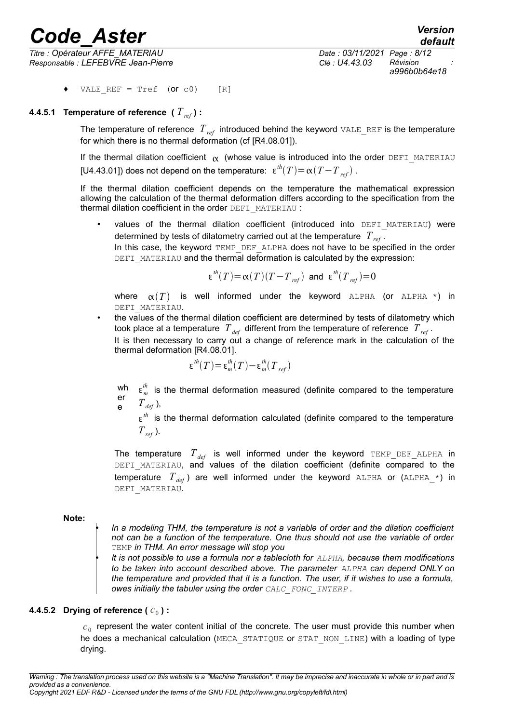*Titre : Opérateur AFFE\_MATERIAU Date : 03/11/2021 Page : 8/12 Responsable : LEFEBVRE Jean-Pierre Clé : U4.43.03 Révision :*

VALE REF = Tref  $(Or c0)$  [R]

#### **4.4.5.1 Temperature of reference (** *Tref* **) :**

The temperature of reference *Tref* introduced behind the keyword VALE\_REF is the temperature for which there is no thermal deformation (cf [R4.08.01]).

If the thermal dilation coefficient  $\alpha$  (whose value is introduced into the order DEFI\_MATERIAU [U4.43.01]) does not depend on the temperature:  $\epsilon^{th}(T) \! = \! \alpha(T\!-\!T_{\mathit{ref}})$  .

If the thermal dilation coefficient depends on the temperature the mathematical expression allowing the calculation of the thermal deformation differs according to the specification from the thermal dilation coefficient in the order DEFI\_MATERIAU :

values of the thermal dilation coefficient (introduced into DEFI MATERIAU) were determined by tests of dilatometry carried out at the temperature *Tref* . In this case, the keyword TEMP\_DEF\_ALPHA does not have to be specified in the order DEFI\_MATERIAU and the thermal deformation is calculated by the expression:

$$
\epsilon^{th}(T)\!=\!\alpha(T)(T-T_{\mathit{ref}}) \text{ and } \epsilon^{th}(T_{\mathit{ref}})\!=\!0
$$

where  $\alpha(T)$  is well informed under the keyword ALPHA (or ALPHA<sup>\*</sup>) in DEFI\_MATERIAU.

• the values of the thermal dilation coefficient are determined by tests of dilatometry which took place at a temperature  $T_{def}$  different from the temperature of reference  $T_{ref}$ . It is then necessary to carry out a change of reference mark in the calculation of the thermal deformation [R4.08.01].

$$
\varepsilon^{th}(T) = \varepsilon_m^{th}(T) - \varepsilon_m^{th}(T_{ref})
$$

wh  $\epsilon_m^{th}$  is the thermal deformation measured (definite compared to the temperature er e  $T_{def}$ ,

 $\varepsilon$ <sup>th</sup> is the thermal deformation calculated (definite compared to the temperature *Tref* ).

The temperature  $T_{def}$  is well informed under the keyword TEMP DEF ALPHA in DEFI\_MATERIAU, and values of the dilation coefficient (definite compared to the temperature  $T_{def}$ ) are well informed under the keyword ALPHA or (ALPHA  $*$ ) in DEFI\_MATERIAU.

#### **Note:**

• *In a modeling THM, the temperature is not a variable of order and the dilation coefficient not can be a function of the temperature. One thus should not use the variable of order* TEMP *in THM. An error message will stop you*

• *It is not possible to use a formula nor a tablecloth for ALPHA, because them modifications to be taken into account described above. The parameter ALPHA can depend ONLY on the temperature and provided that it is a function. The user, if it wishes to use a formula, owes initially the tabuler using the order CALC\_FONC\_INTERP .* 

#### **4.4.5.2** Drying of reference (  $c_0$  ) :

 $c_{\rm 0}$  represent the water content initial of the concrete. The user must provide this number when he does a mechanical calculation (MECA\_STATIQUE or STAT\_NON\_LINE) with a loading of type drying.

*Warning : The translation process used on this website is a "Machine Translation". It may be imprecise and inaccurate in whole or in part and is provided as a convenience. Copyright 2021 EDF R&D - Licensed under the terms of the GNU FDL (http://www.gnu.org/copyleft/fdl.html)*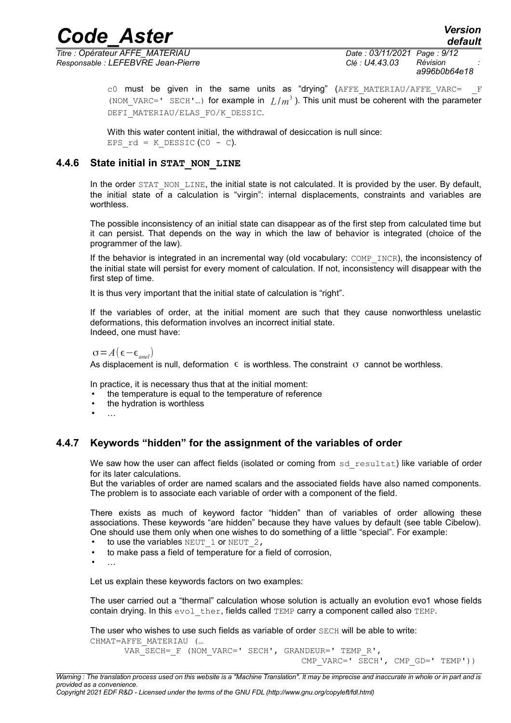*Titre : Opérateur AFFE\_MATERIAU Date : 03/11/2021 Page : 9/12 Responsable : LEFEBVRE Jean-Pierre Clé : U4.43.03 Révision :*

*a996b0b64e18*

*default*

 $c0$  must be given in the same units as "drying" (AFFE MATERIAU/AFFE VARC=  $F$ (NOM\_VARC=' SECH'...) for example in  $L/m^3$ ). This unit must be coherent with the parameter DEFI\_MATERIAU/ELAS\_FO/K\_DESSIC.

With this water content initial, the withdrawal of desiccation is null since: EPS  $rd = K$  DESSIC (CO - C).

#### **4.4.6 State initial in STAT\_NON\_LINE**

In the order STAT\_NON\_LINE, the initial state is not calculated. It is provided by the user. By default, the initial state of a calculation is "virgin": internal displacements, constraints and variables are worthless.

The possible inconsistency of an initial state can disappear as of the first step from calculated time but it can persist. That depends on the way in which the law of behavior is integrated (choice of the programmer of the law).

If the behavior is integrated in an incremental way (old vocabulary: COMP\_INCR), the inconsistency of the initial state will persist for every moment of calculation. If not, inconsistency will disappear with the first step of time.

It is thus very important that the initial state of calculation is "right".

If the variables of order, at the initial moment are such that they cause nonworthless unelastic deformations, this deformation involves an incorrect initial state. Indeed, one must have:

 $\sigma = A(\epsilon - \epsilon_{\text{enel}})$ 

As displacement is null, deformation  $\epsilon$  is worthless. The constraint  $\sigma$  cannot be worthless.

In practice, it is necessary thus that at the initial moment:

- the temperature is equal to the temperature of reference
- the hydration is worthless
- …

#### **4.4.7 Keywords "hidden" for the assignment of the variables of order**

We saw how the user can affect fields (isolated or coming from sd resultat) like variable of order for its later calculations.

But the variables of order are named scalars and the associated fields have also named components. The problem is to associate each variable of order with a component of the field.

There exists as much of keyword factor "hidden" than of variables of order allowing these associations. These keywords "are hidden" because they have values by default (see table Cibelow). One should use them only when one wishes to do something of a little "special". For example:

- to use the variables  $NEUT$  1 or  $NEUT$  2,
- to make pass a field of temperature for a field of corrosion,
- …

Let us explain these keywords factors on two examples:

The user carried out a "thermal" calculation whose solution is actually an evolution evo1 whose fields contain drying. In this evol ther, fields called TEMP carry a component called also TEMP.

The user who wishes to use such fields as variable of order SECH will be able to write: CHMAT=AFFE\_MATERIAU (…

VAR\_SECH=\_F (NOM\_VARC=' SECH', GRANDEUR=' TEMP\_R', CMP\_VARC=' SECH', CMP\_GD=' TEMP'))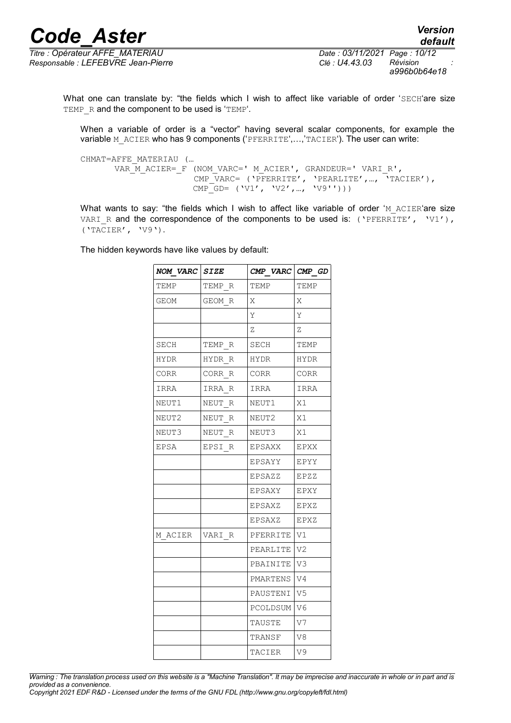*Titre : Opérateur AFFE\_MATERIAU Date : 03/11/2021 Page : 10/12 Responsable : LEFEBVRE Jean-Pierre Clé : U4.43.03 Révision :*

*a996b0b64e18*

*default*

What one can translate by: "the fields which I wish to affect like variable of order 'SECH'are size TEMP R and the component to be used is 'TEMP'.

When a variable of order is a "vector" having several scalar components, for example the variable M ACIER who has 9 components ('PFERRITE',...,'TACIER'). The user can write:

CHMAT=AFFE\_MATERIAU (… VAR M ACIER= F (NOM VARC=' M ACIER', GRANDEUR=' VARI R', CMP\_VARC= ('PFERRITE', 'PEARLITE',.., 'TACIER'),  $\text{CMP\_GD= (V1', V2', ..., V9'')$ ))

What wants to say: "the fields which I wish to affect like variable of order 'M ACIER'are size VARI R and the correspondence of the components to be used is: ('PFERRITE', 'V1'), ('TACIER', 'V9').

The hidden keywords have like values by default:

| NOM VARC SIZE |        | CMP VARC CMP GD |                |
|---------------|--------|-----------------|----------------|
| TEMP          | TEMP R | TEMP            | TEMP           |
| GEOM          | GEOM R | X               | Χ              |
|               |        | Υ               | Y              |
|               |        | Ζ               | Ζ              |
| SECH          | TEMP R | SECH            | TEMP           |
| HYDR          | HYDR R | HYDR            | HYDR           |
| CORR          | CORR R | CORR            | CORR           |
| IRRA          | IRRA R | IRRA            | IRRA           |
| NEUT1         | NEUT R | NEUT1           | X1             |
| NEUT2         | NEUT R | NEUT2           | X1             |
| NEUT3         | NEUT R | NEUT3           | X1             |
| EPSA          | EPSI R | EPSAXX          | EPXX           |
|               |        | EPSAYY          | EPYY           |
|               |        | EPSAZZ          | EPZZ           |
|               |        | EPSAXY          | EPXY           |
|               |        | EPSAXZ          | EPXZ           |
|               |        | EPSAXZ          | EPXZ           |
| M ACIER       | VARI R | PFERRITE        | V1             |
|               |        | PEARLITE        | V2             |
|               |        | PBAINITE V3     |                |
|               |        | PMARTENS        | W4             |
|               |        | PAUSTENI        | V <sub>5</sub> |
|               |        | PCOLDSUM V6     |                |
|               |        | TAUSTE          | V7             |
|               |        | TRANSF          | V8             |
|               |        | TACIER          | V9             |

*Warning : The translation process used on this website is a "Machine Translation". It may be imprecise and inaccurate in whole or in part and is provided as a convenience.*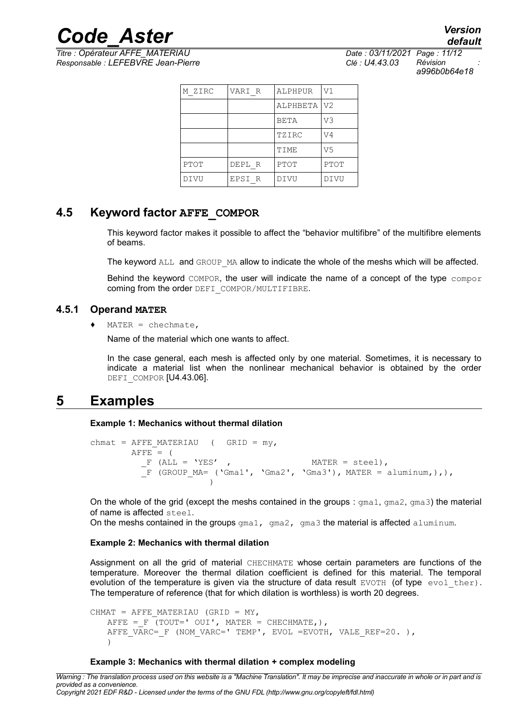*Titre : Opérateur AFFE\_MATERIAU Date : 03/11/2021 Page : 11/12 Responsable : LEFEBVRE Jean-Pierre Clé : U4.43.03 Révision :*

*a996b0b64e18*

*default*

| M ZIRC | VARI R | ALPHPUR  | V1          |
|--------|--------|----------|-------------|
|        |        | ALPHBETA | V2          |
|        |        | BETA     | VЗ          |
|        |        | TZIRC    | V4          |
|        |        | TIME     | V5          |
| PTOT   | DEPL R | PTOT     | <b>PTOT</b> |
| DIVU   | EPSI R | DIVU     | DIVU        |

### **4.5 Keyword factor AFFE\_COMPOR**

This keyword factor makes it possible to affect the "behavior multifibre" of the multifibre elements of beams.

The keyword ALL and GROUP MA allow to indicate the whole of the meshs which will be affected.

Behind the keyword COMPOR, the user will indicate the name of a concept of the type compor coming from the order DEFI\_COMPOR/MULTIFIBRE.

#### **4.5.1 Operand MATER**

 $MATER = chechnate,$ 

Name of the material which one wants to affect.

In the case general, each mesh is affected only by one material. Sometimes, it is necessary to indicate a material list when the nonlinear mechanical behavior is obtained by the order DEFI COMPOR [U4.43.06].

### **5 Examples**

**Example 1: Mechanics without thermal dilation**

```
chmat = AFFE_MATERIAU ( GRID = my,
      AFFE = (F (ALL = 'YES' ,F (GROUP MA= ('Gma1', 'Gma2', 'Gma3'), MATER = aluminum,),),
                  \lambda
```
On the whole of the grid (except the meshs contained in the groups :  $\gamma$ ma1,  $\gamma$ ma2,  $\gamma$ ma3) the material of name is affected steel.

On the meshs contained in the groups  $\text{cm}a1$ ,  $\text{cm}a2$ ,  $\text{cm}a3$  the material is affected aluminum.

#### **Example 2: Mechanics with thermal dilation**

Assignment on all the grid of material CHECHMATE whose certain parameters are functions of the temperature. Moreover the thermal dilation coefficient is defined for this material. The temporal evolution of the temperature is given via the structure of data result  $EVOTH$  (of type  $evol$  ther). The temperature of reference (that for which dilation is worthless) is worth 20 degrees.

```
CHMAT = AFFE MATERIAU (GRID = MY,
   AFFE = F (TOUT=' OUI', MATER = CHECHMATE, ),
   AFFE VARC= F (NOM VARC=' TEMP', EVOL =EVOTH, VALE_REF=20. ),
   \lambda
```
#### **Example 3: Mechanics with thermal dilation + complex modeling**